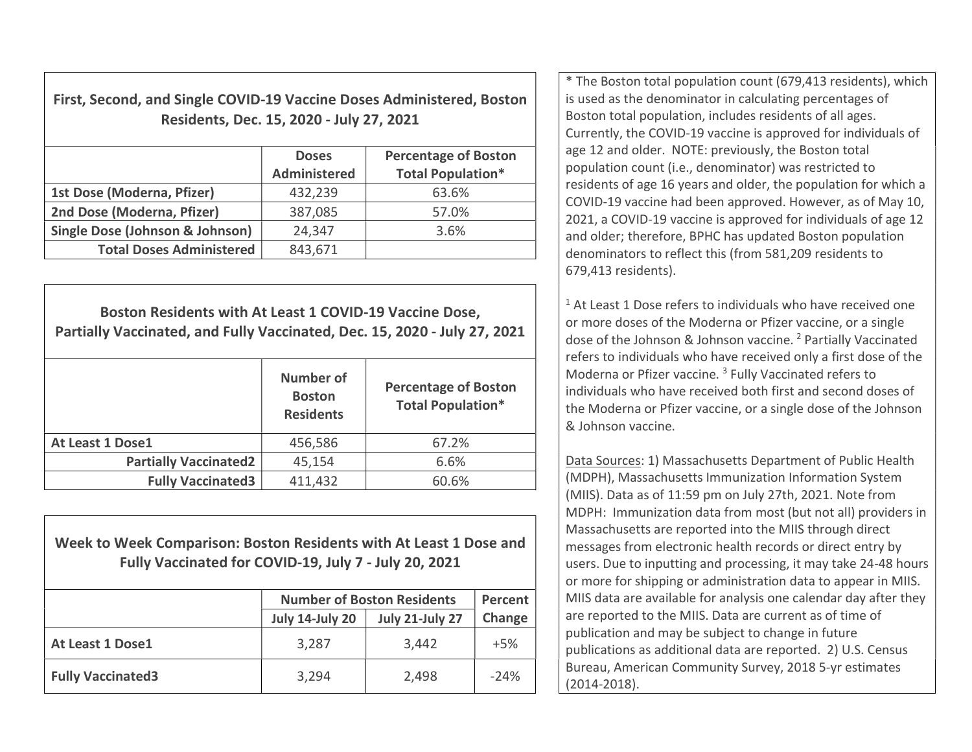First, Second, and Single COVID-19 Vaccine Doses Administered, Boston Residents, Dec. 15, 2020 - July 27, 2021

|                                 | <b>Doses</b><br><b>Administered</b> | <b>Percentage of Boston</b><br><b>Total Population*</b> |
|---------------------------------|-------------------------------------|---------------------------------------------------------|
| 1st Dose (Moderna, Pfizer)      | 432,239                             | 63.6%                                                   |
| 2nd Dose (Moderna, Pfizer)      | 387,085                             | 57.0%                                                   |
| Single Dose (Johnson & Johnson) | 24,347                              | 3.6%                                                    |
| <b>Total Doses Administered</b> | 843,671                             |                                                         |

Boston Residents with At Least 1 COVID-19 Vaccine Dose, Partially Vaccinated, and Fully Vaccinated, Dec. 15, 2020 - July 27, 2021 Number of Boston Residents Percentage of Boston Total Population\* At Least 1 Dose1 1 2 456,586 1 67.2% Partially Vaccinated2 45,154 6.6% Fully Vaccinated3  $411,432$  60.6%

Week to Week Comparison: Boston Residents with At Least 1 Dose and Fully Vaccinated for COVID-19, July 7 - July 20, 2021

|                          | <b>Number of Boston Residents</b> | Percent                |        |
|--------------------------|-----------------------------------|------------------------|--------|
|                          | <b>July 14-July 20</b>            | <b>July 21-July 27</b> | Change |
| At Least 1 Dose1         | 3,287                             | 3,442                  | $+5%$  |
| <b>Fully Vaccinated3</b> | 3,294                             | 2,498                  | $-24%$ |

\* The Boston total population count (679,413 residents), which is used as the denominator in calculating percentages of Boston total population, includes residents of all ages. Currently, the COVID-19 vaccine is approved for individuals of age 12 and older. NOTE: previously, the Boston total population count (i.e., denominator) was restricted to residents of age 16 years and older, the population for which a COVID-19 vaccine had been approved. However, as of May 10, 2021, a COVID-19 vaccine is approved for individuals of age 12 and older; therefore, BPHC has updated Boston population denominators to reflect this (from 581,209 residents to 679,413 residents).

 $1$  At Least 1 Dose refers to individuals who have received one or more doses of the Moderna or Pfizer vaccine, or a single dose of the Johnson & Johnson vaccine. <sup>2</sup> Partially Vaccinated refers to individuals who have received only a first dose of the Moderna or Pfizer vaccine.<sup>3</sup> Fully Vaccinated refers to individuals who have received both first and second doses of the Moderna or Pfizer vaccine, or a single dose of the Johnson & Johnson vaccine.

Data Sources: 1) Massachusetts Department of Public Health (MDPH), Massachusetts Immunization Information System (MIIS). Data as of 11:59 pm on July 27th, 2021. Note from MDPH: Immunization data from most (but not all) providers in Massachusetts are reported into the MIIS through direct messages from electronic health records or direct entry by users. Due to inputting and processing, it may take 24-48 hours or more for shipping or administration data to appear in MIIS. MIIS data are available for analysis one calendar day after they are reported to the MIIS. Data are current as of time of publication and may be subject to change in future publications as additional data are reported. 2) U.S. Census Bureau, American Community Survey, 2018 5-yr estimates (2014-2018).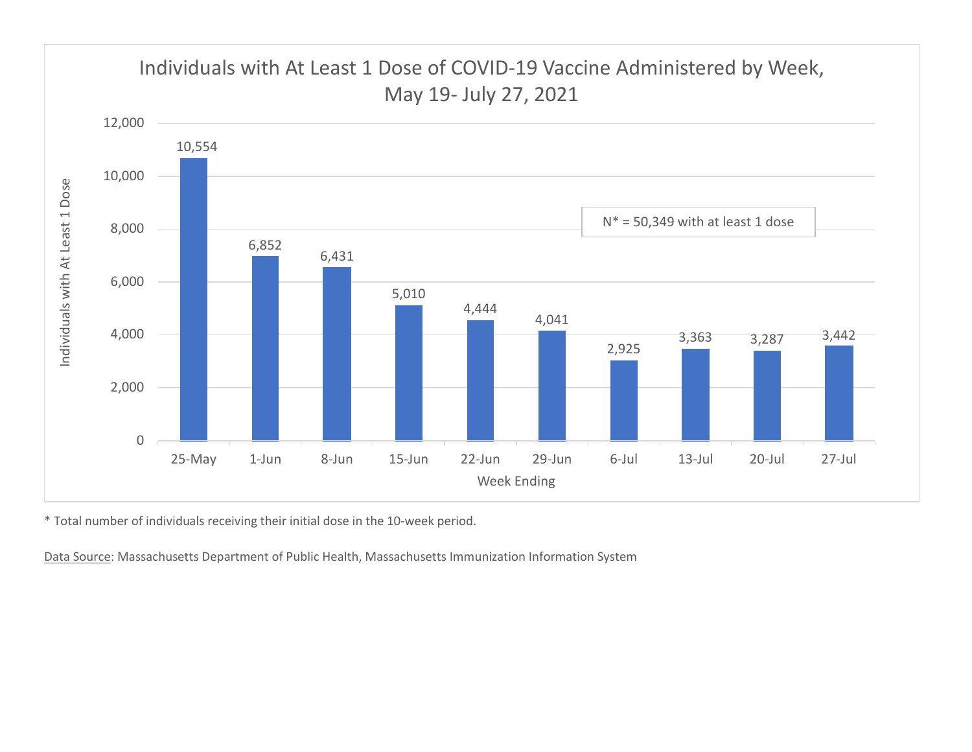

\* Total number of individuals receiving their initial dose in the 10-week period.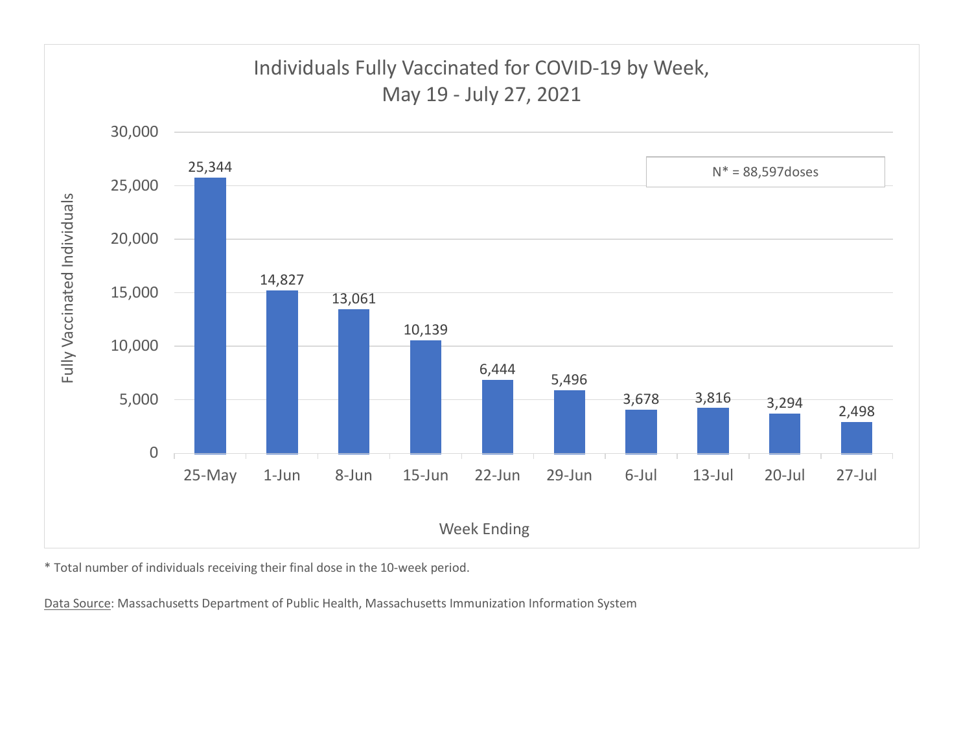

\* Total number of individuals receiving their final dose in the 10-week period.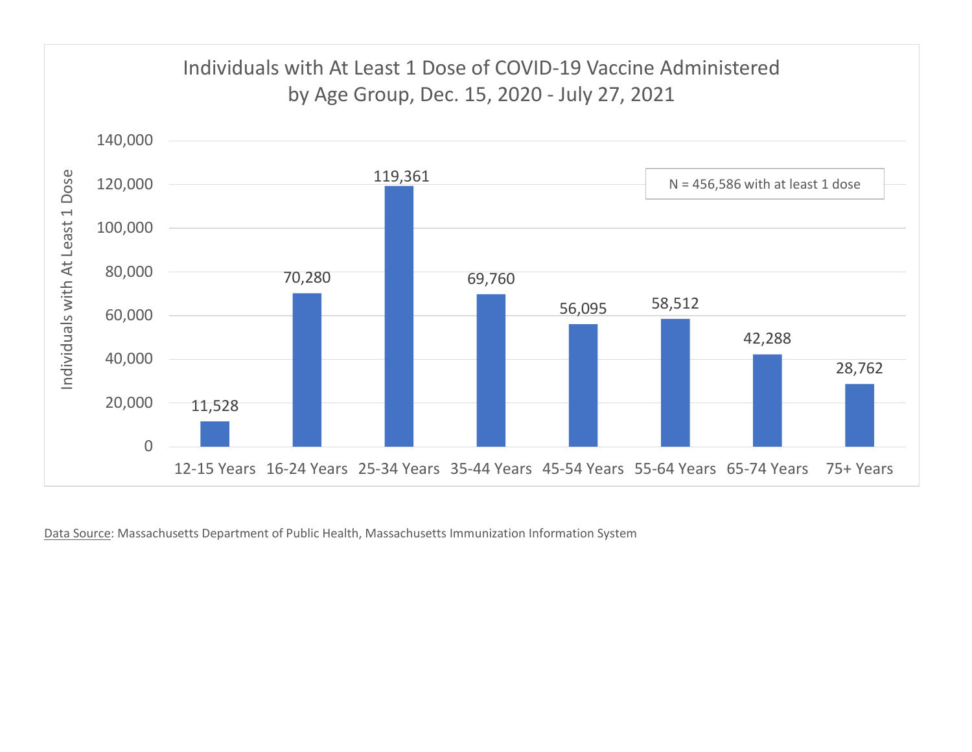

Data Source: Massachusetts Department of Public Health, Massachusetts Immunization Information System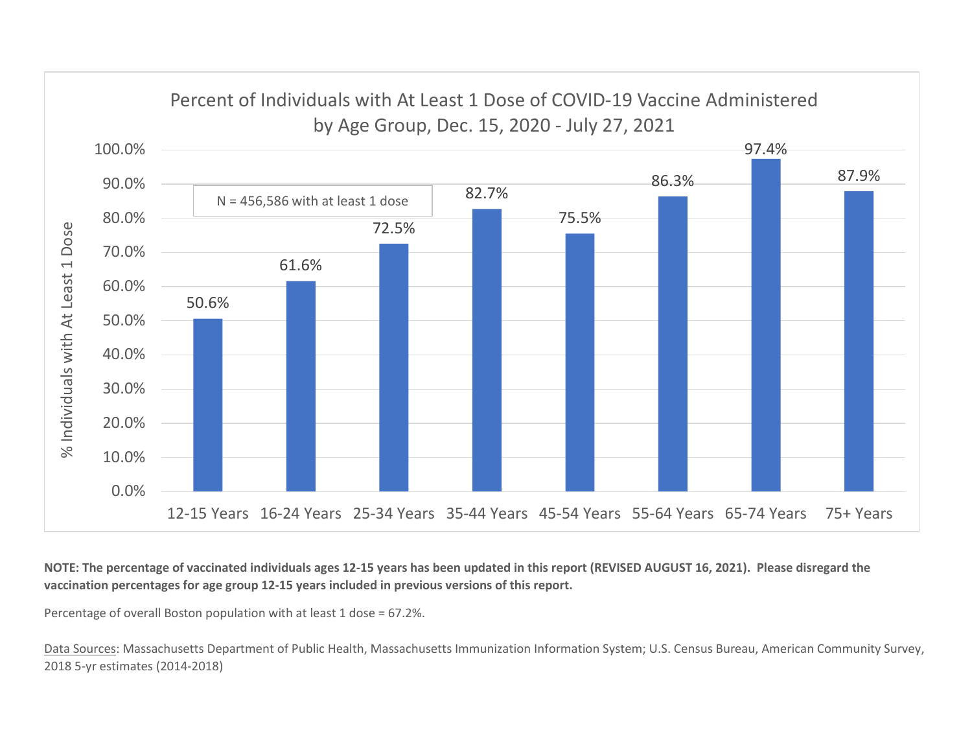

NOTE: The percentage of vaccinated individuals ages 12-15 years has been updated in this report (REVISED AUGUST 16, 2021). Please disregard the vaccination percentages for age group 12-15 years included in previous versions of this report.

Percentage of overall Boston population with at least 1 dose = 67.2%.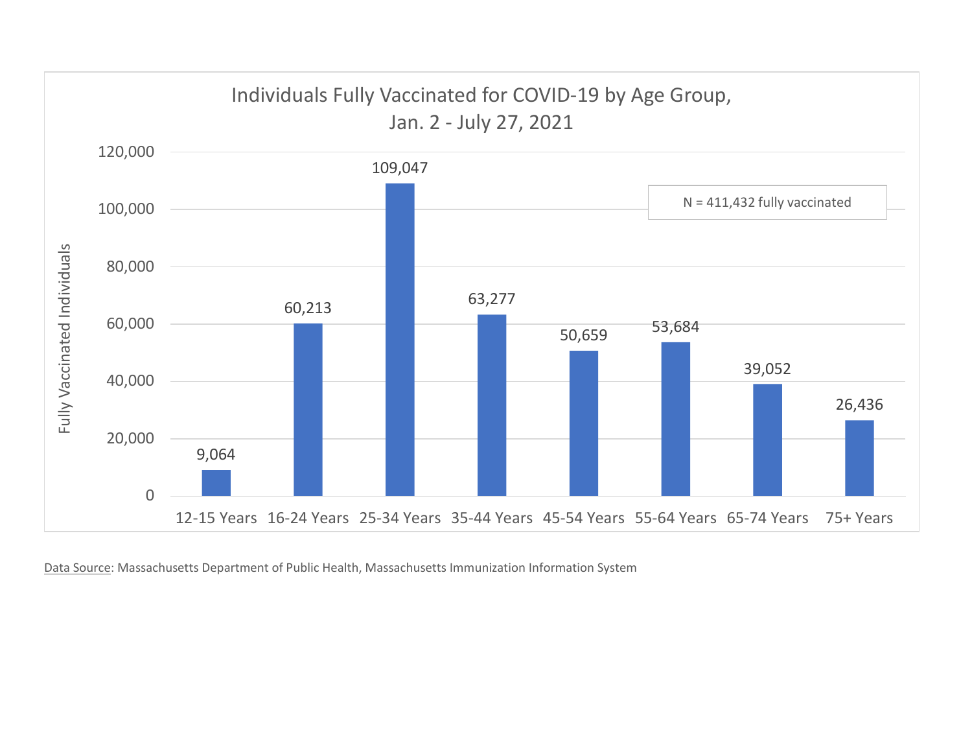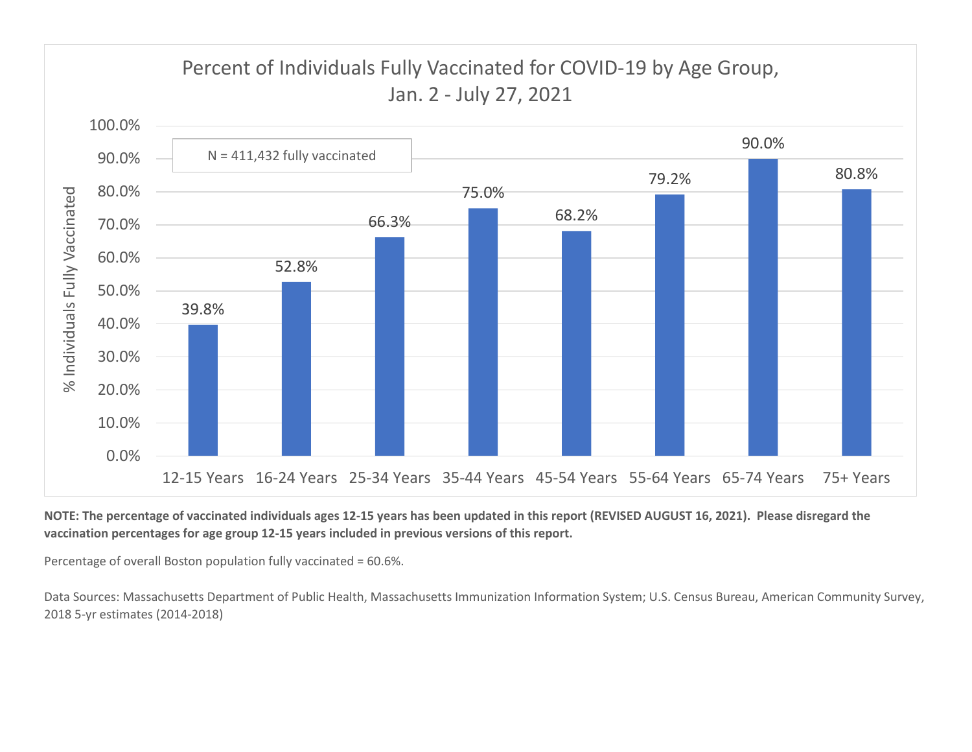

## NOTE: The percentage of vaccinated individuals ages 12-15 years has been updated in this report (REVISED AUGUST 16, 2021). Please disregard the vaccination percentages for age group 12-15 years included in previous versions of this report.

Percentage of overall Boston population fully vaccinated = 60.6%.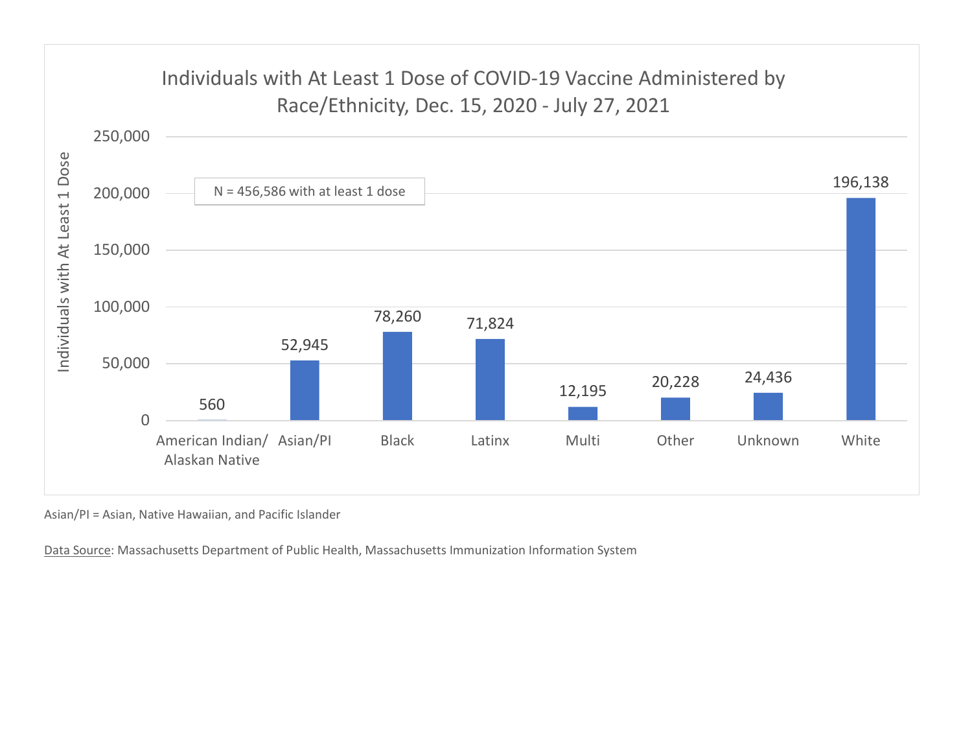

Asian/PI = Asian, Native Hawaiian, and Pacific Islander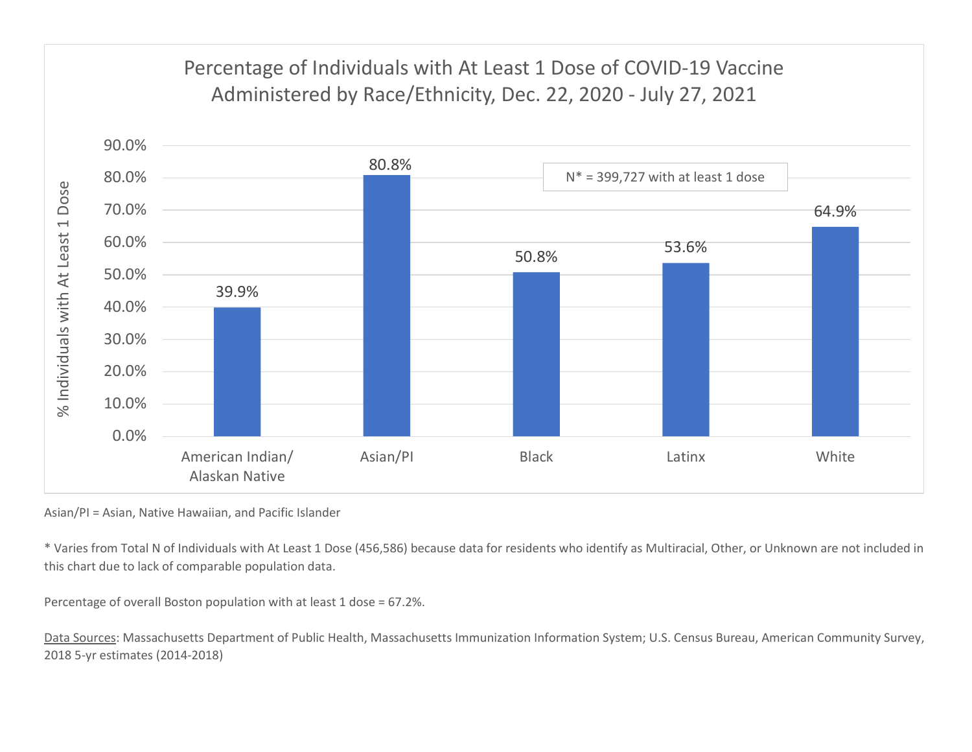

Asian/PI = Asian, Native Hawaiian, and Pacific Islander

\* Varies from Total N of Individuals with At Least 1 Dose (456,586) because data for residents who identify as Multiracial, Other, or Unknown are not included in this chart due to lack of comparable population data.

Percentage of overall Boston population with at least 1 dose = 67.2%.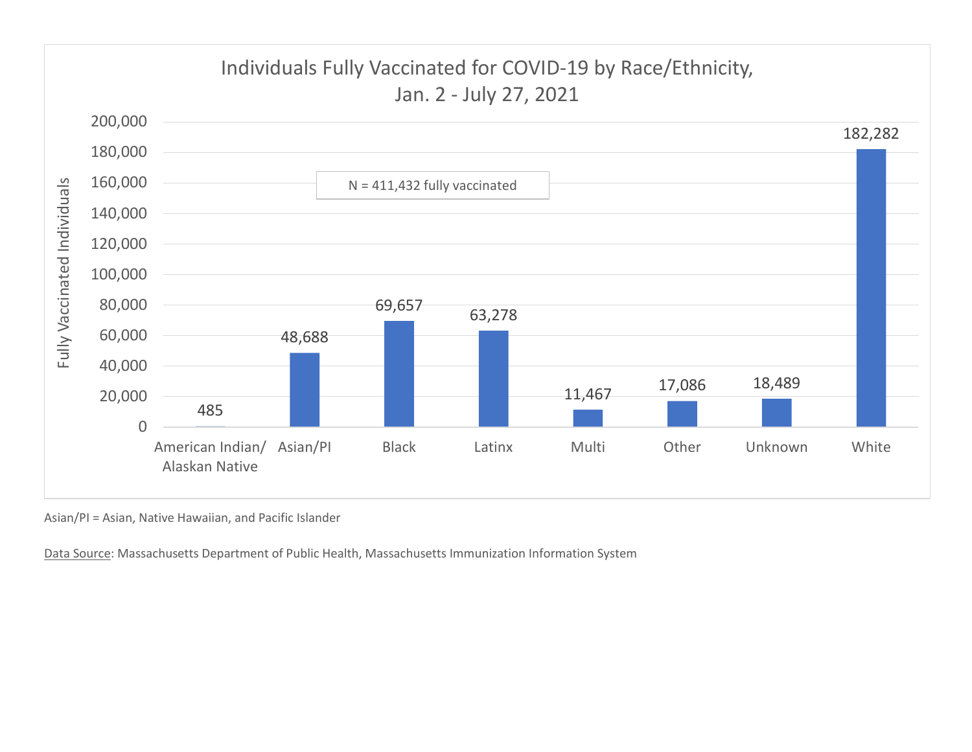

Asian/PI = Asian, Native Hawaiian, and Pacific Islander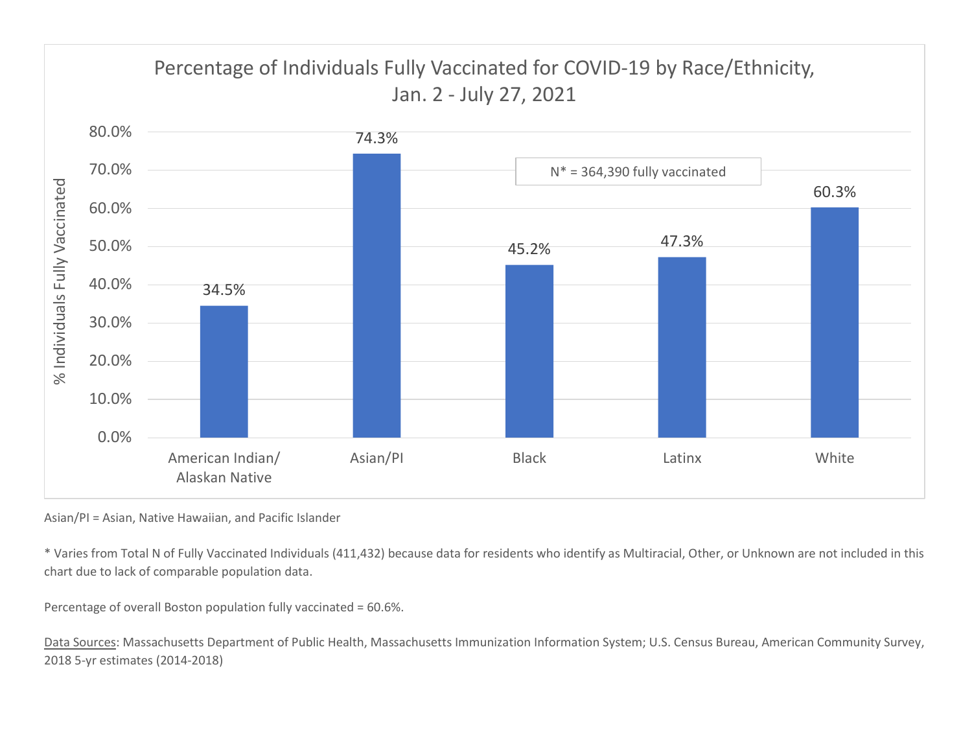

Asian/PI = Asian, Native Hawaiian, and Pacific Islander

\* Varies from Total N of Fully Vaccinated Individuals (411,432) because data for residents who identify as Multiracial, Other, or Unknown are not included in this chart due to lack of comparable population data.

Percentage of overall Boston population fully vaccinated = 60.6%.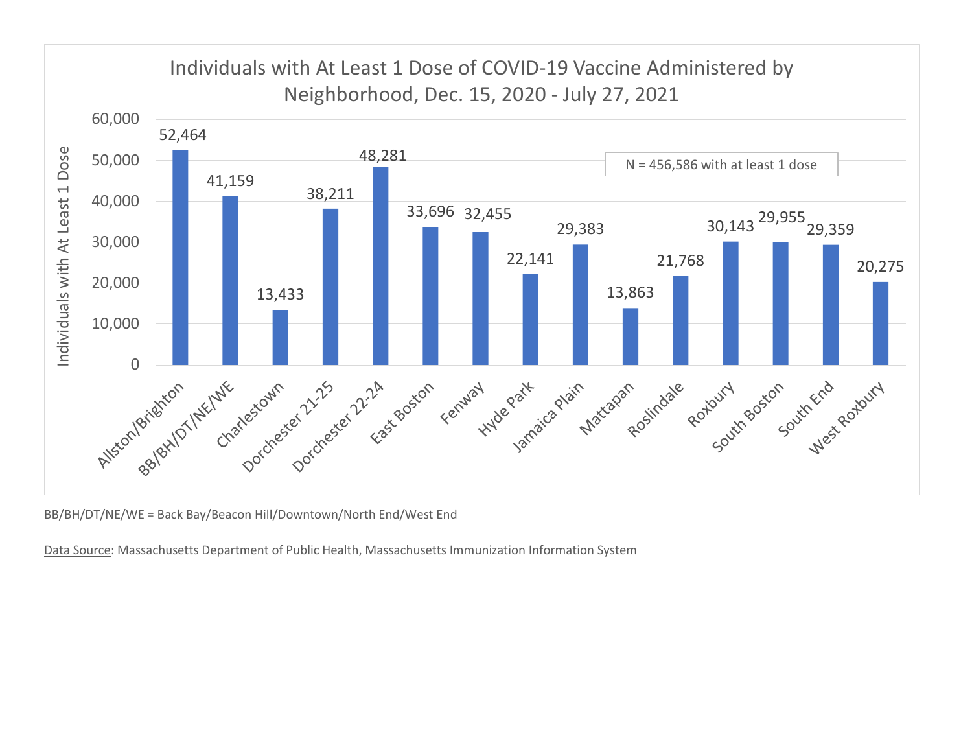

BB/BH/DT/NE/WE = Back Bay/Beacon Hill/Downtown/North End/West End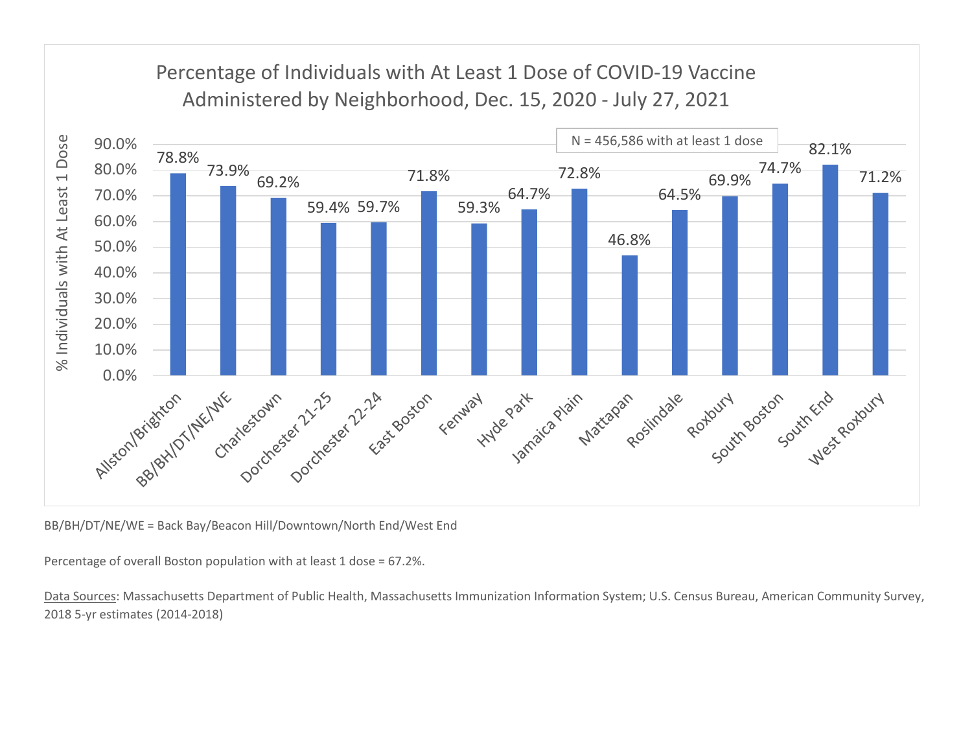

BB/BH/DT/NE/WE = Back Bay/Beacon Hill/Downtown/North End/West End

Percentage of overall Boston population with at least 1 dose = 67.2%.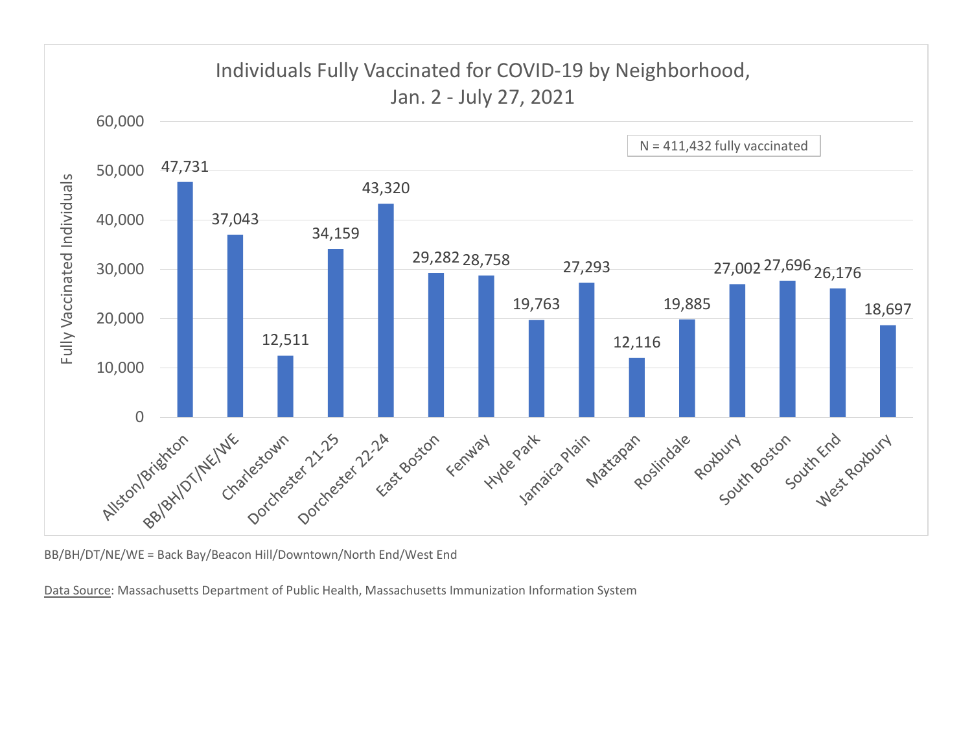

BB/BH/DT/NE/WE = Back Bay/Beacon Hill/Downtown/North End/West End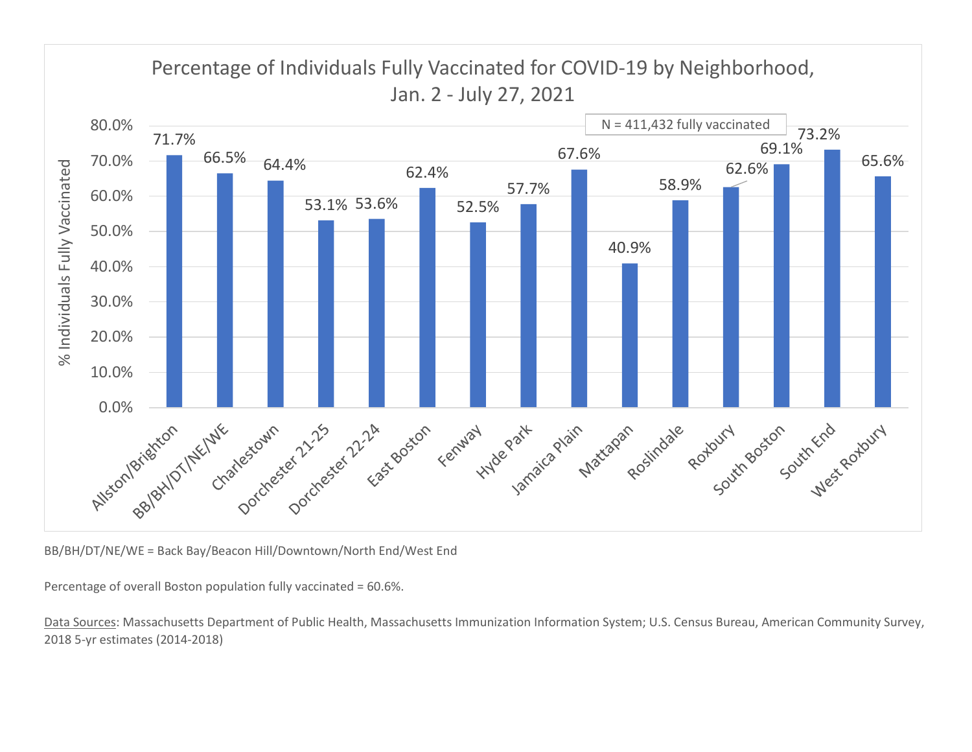

BB/BH/DT/NE/WE = Back Bay/Beacon Hill/Downtown/North End/West End

Percentage of overall Boston population fully vaccinated = 60.6%.